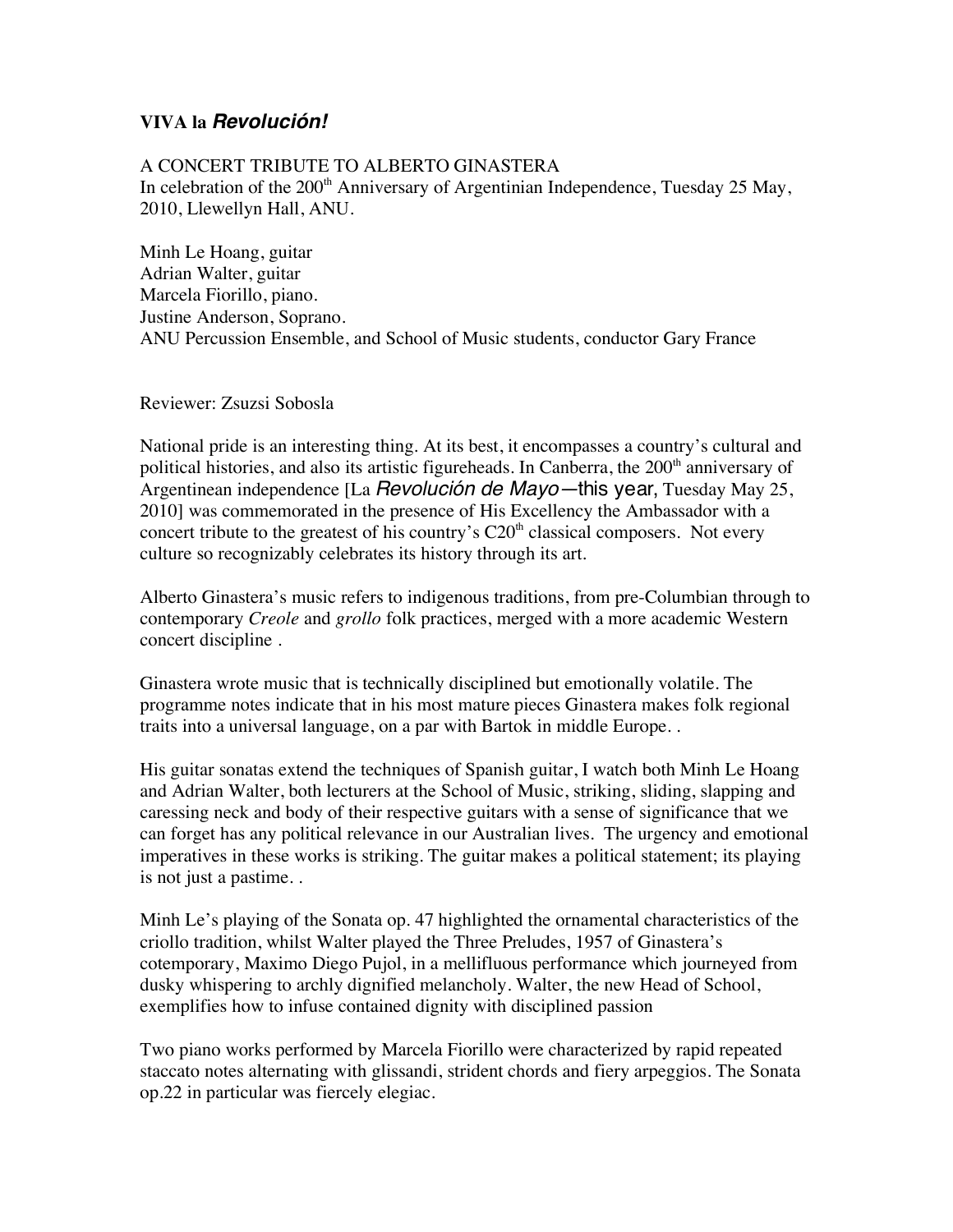## **VIVA la** *Revolución!*

## A CONCERT TRIBUTE TO ALBERTO GINASTERA In celebration of the  $200<sup>th</sup>$  Anniversary of Argentinian Independence, Tuesday 25 May, 2010, Llewellyn Hall, ANU.

Minh Le Hoang, guitar Adrian Walter, guitar Marcela Fiorillo, piano. Justine Anderson, Soprano. ANU Percussion Ensemble, and School of Music students, conductor Gary France

Reviewer: Zsuzsi Sobosla

National pride is an interesting thing. At its best, it encompasses a country's cultural and political histories, and also its artistic figureheads. In Canberra, the 200<sup>th</sup> anniversary of Argentinean independence [La *Revolución de Mayo—*this year, Tuesday May 25, 2010] was commemorated in the presence of His Excellency the Ambassador with a concert tribute to the greatest of his country's  $C20<sup>th</sup>$  classical composers. Not every culture so recognizably celebrates its history through its art.

Alberto Ginastera's music refers to indigenous traditions, from pre-Columbian through to contemporary *Creole* and *grollo* folk practices, merged with a more academic Western concert discipline .

Ginastera wrote music that is technically disciplined but emotionally volatile. The programme notes indicate that in his most mature pieces Ginastera makes folk regional traits into a universal language, on a par with Bartok in middle Europe. .

His guitar sonatas extend the techniques of Spanish guitar, I watch both Minh Le Hoang and Adrian Walter, both lecturers at the School of Music, striking, sliding, slapping and caressing neck and body of their respective guitars with a sense of significance that we can forget has any political relevance in our Australian lives. The urgency and emotional imperatives in these works is striking. The guitar makes a political statement; its playing is not just a pastime. .

Minh Le's playing of the Sonata op. 47 highlighted the ornamental characteristics of the criollo tradition, whilst Walter played the Three Preludes, 1957 of Ginastera's cotemporary, Maximo Diego Pujol, in a mellifluous performance which journeyed from dusky whispering to archly dignified melancholy. Walter, the new Head of School, exemplifies how to infuse contained dignity with disciplined passion

Two piano works performed by Marcela Fiorillo were characterized by rapid repeated staccato notes alternating with glissandi, strident chords and fiery arpeggios. The Sonata op.22 in particular was fiercely elegiac.